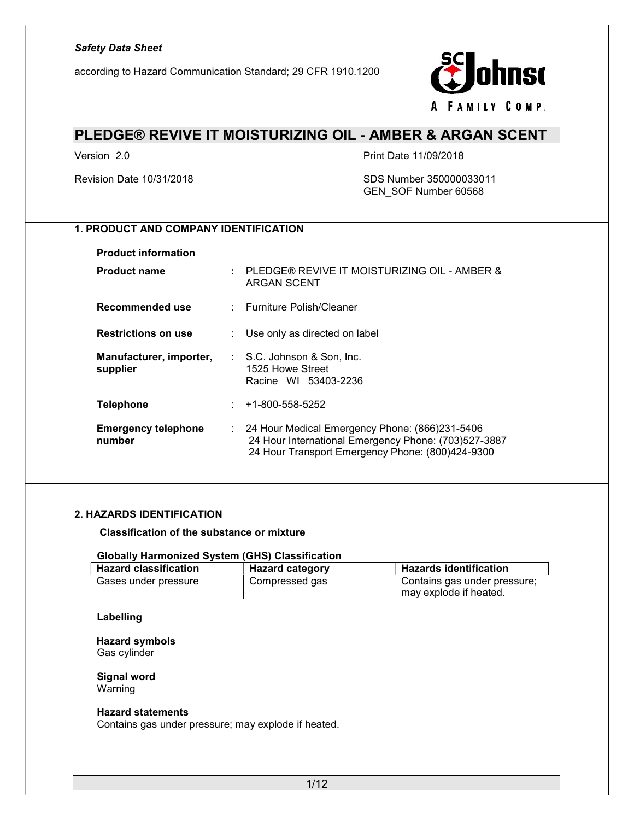according to Hazard Communication Standard; 29 CFR 1910.1200



# PLEDGE® REVIVE IT MOISTURIZING OIL - AMBER & ARGAN SCENT

Version 2.0 Print Date 11/09/2018

#### Revision Date 10/31/2018 SDS Number 350000033011 GEN\_SOF Number 60568

# 1. PRODUCT AND COMPANY IDENTIFICATION

Product information

| <b>Product name</b>                  | $\therefore$ PLEDGE® REVIVE IT MOISTURIZING OIL - AMBER &<br>ARGAN SCENT                                                                                                |  |
|--------------------------------------|-------------------------------------------------------------------------------------------------------------------------------------------------------------------------|--|
| Recommended use                      | : Furniture Polish/Cleaner                                                                                                                                              |  |
| <b>Restrictions on use</b>           | Use only as directed on label                                                                                                                                           |  |
| Manufacturer, importer,<br>supplier  | $\therefore$ S.C. Johnson & Son, Inc.<br>1525 Howe Street<br>Racine WI 53403-2236                                                                                       |  |
| <b>Telephone</b>                     | $: +1 - 800 - 558 - 5252$                                                                                                                                               |  |
| <b>Emergency telephone</b><br>number | $\therefore$ 24 Hour Medical Emergency Phone: (866)231-5406<br>24 Hour International Emergency Phone: (703)527-3887<br>24 Hour Transport Emergency Phone: (800)424-9300 |  |

#### 2. HAZARDS IDENTIFICATION

Classification of the substance or mixture

#### Globally Harmonized System (GHS) Classification

| <b>Hazard classification</b> | <b>Hazard category</b> | <b>Hazards identification</b>             |
|------------------------------|------------------------|-------------------------------------------|
| Gases under pressure         | Compressed gas         | <sup>1</sup> Contains gas under pressure; |
|                              |                        | may explode if heated.                    |

#### Labelling

Hazard symbols Gas cylinder

Signal word Warning

#### Hazard statements

Contains gas under pressure; may explode if heated.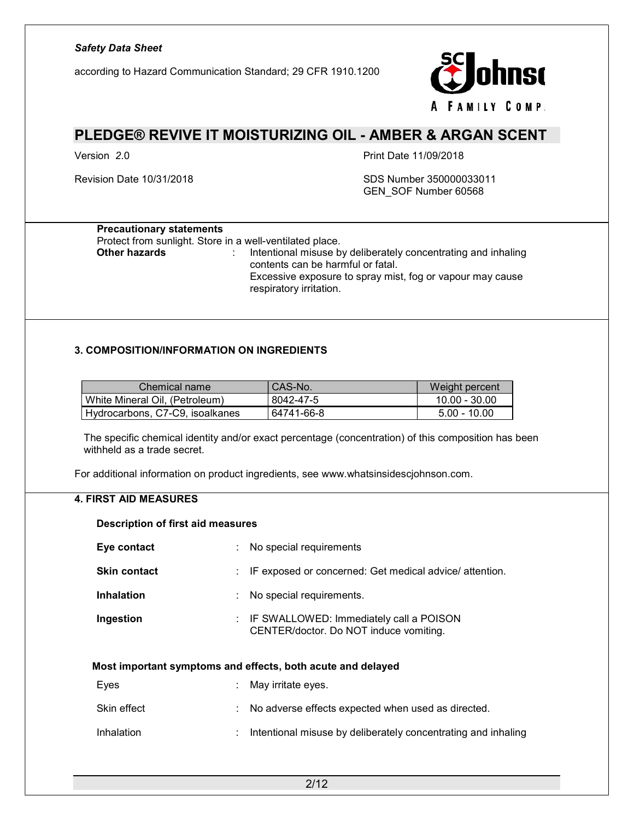according to Hazard Communication Standard; 29 CFR 1910.1200



# PLEDGE® REVIVE IT MOISTURIZING OIL - AMBER & ARGAN SCENT

Version 2.0 Print Date 11/09/2018

Revision Date 10/31/2018 SDS Number 350000033011 GEN\_SOF Number 60568

### Precautionary statements

Protect from sunlight. Store in a well-ventilated place.

| <b>Other hazards</b> | Intentional misuse by deliberately concentrating and inhaling |
|----------------------|---------------------------------------------------------------|
|                      | contents can be harmful or fatal.                             |
|                      | Excessive exposure to spray mist, fog or vapour may cause     |
|                      | respiratory irritation.                                       |

### 3. COMPOSITION/INFORMATION ON INGREDIENTS

| Chemical name                   | CAS-No.    | Weight percent  |
|---------------------------------|------------|-----------------|
| White Mineral Oil, (Petroleum)  | 8042-47-5  | $10.00 - 30.00$ |
| Hydrocarbons, C7-C9, isoalkanes | 64741-66-8 | $5.00 - 10.00$  |

The specific chemical identity and/or exact percentage (concentration) of this composition has been withheld as a trade secret.

For additional information on product ingredients, see www.whatsinsidescjohnson.com.

## 4. FIRST AID MEASURES

#### Description of first aid measures

| Eye contact         | No special requirements                                                             |  |  |
|---------------------|-------------------------------------------------------------------------------------|--|--|
| <b>Skin contact</b> | IF exposed or concerned: Get medical advice/ attention.                             |  |  |
| <b>Inhalation</b>   | No special requirements.                                                            |  |  |
| Ingestion           | : IF SWALLOWED: Immediately call a POISON<br>CENTER/doctor. Do NOT induce vomiting. |  |  |
|                     | Most important symptoms and effects, both acute and delayed                         |  |  |
| Eyes                | May irritate eyes.                                                                  |  |  |

| Skin effect | : No adverse effects expected when used as directed.          |
|-------------|---------------------------------------------------------------|
| Inhalation  | Intentional misuse by deliberately concentrating and inhaling |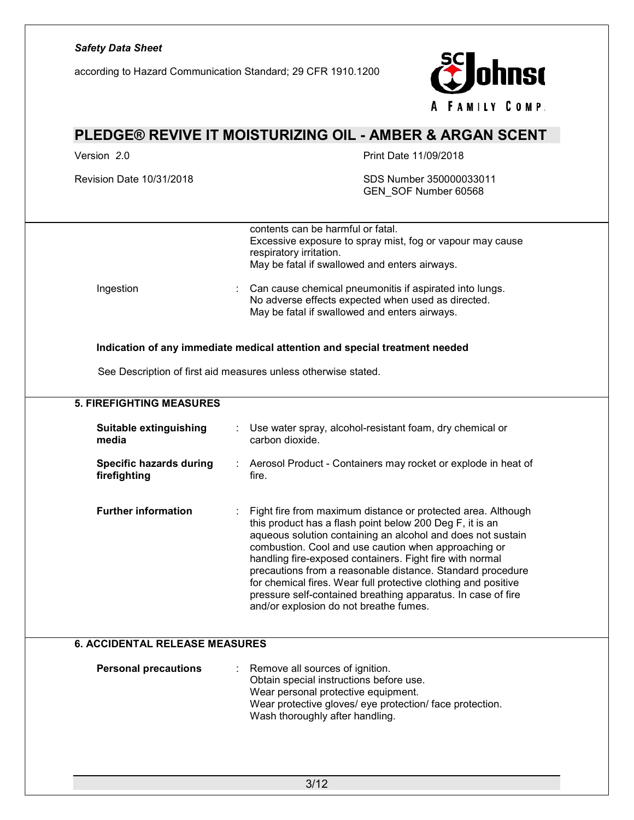# Safety Data Sheet hnsc according to Hazard Communication Standard; 29 CFR 1910.1200 A FAMILY COMP. PLEDGE® REVIVE IT MOISTURIZING OIL - AMBER & ARGAN SCENT Version 2.0 Print Date 11/09/2018 Revision Date 10/31/2018 SDS Number 350000033011 GEN\_SOF Number 60568 contents can be harmful or fatal. Excessive exposure to spray mist, fog or vapour may cause respiratory irritation. May be fatal if swallowed and enters airways. Ingestion **in the Can cause chemical pneumonitis if aspirated into lungs.** No adverse effects expected when used as directed. May be fatal if swallowed and enters airways. Indication of any immediate medical attention and special treatment needed See Description of first aid measures unless otherwise stated. 5. FIREFIGHTING MEASURES Suitable extinguishing : Use water spray, alcohol-resistant foam, dry chemical or carbon dioxide. media Specific hazards during : Aerosol Product - Containers may rocket or explode in heat of firefighting fire. **Further information** : Fight fire from maximum distance or protected area. Although this product has a flash point below 200 Deg F, it is an aqueous solution containing an alcohol and does not sustain combustion. Cool and use caution when approaching or handling fire-exposed containers. Fight fire with normal precautions from a reasonable distance. Standard procedure for chemical fires. Wear full protective clothing and positive pressure self-contained breathing apparatus. In case of fire and/or explosion do not breathe fumes. 6. ACCIDENTAL RELEASE MEASURES **Personal precautions** : Remove all sources of ignition. Obtain special instructions before use. Wear personal protective equipment. Wear protective gloves/ eye protection/ face protection. Wash thoroughly after handling.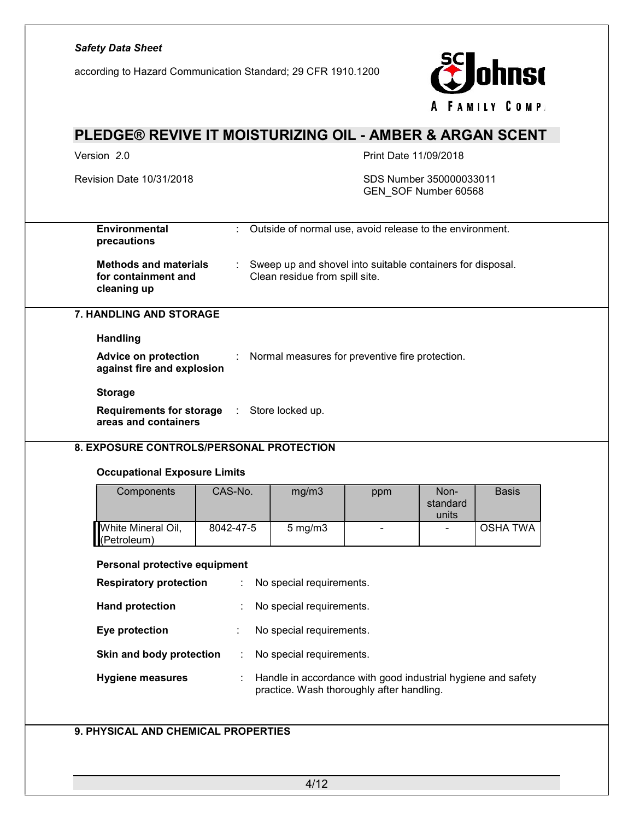|                                                                            |                           | according to Hazard Communication Standard; 29 CFR 1910.1200                                              |     |                                                 | Johnsc          |
|----------------------------------------------------------------------------|---------------------------|-----------------------------------------------------------------------------------------------------------|-----|-------------------------------------------------|-----------------|
|                                                                            |                           |                                                                                                           |     |                                                 | A FAMILY COMP.  |
|                                                                            |                           |                                                                                                           |     |                                                 |                 |
| PLEDGE® REVIVE IT MOISTURIZING OIL - AMBER & ARGAN SCENT                   |                           |                                                                                                           |     |                                                 |                 |
| Version 2.0                                                                |                           |                                                                                                           |     | Print Date 11/09/2018                           |                 |
| <b>Revision Date 10/31/2018</b>                                            |                           |                                                                                                           |     | SDS Number 350000033011<br>GEN_SOF Number 60568 |                 |
| <b>Environmental</b><br>precautions                                        | $\mathbb{R}^{\mathbb{Z}}$ | Outside of normal use, avoid release to the environment.                                                  |     |                                                 |                 |
| <b>Methods and materials</b><br>for containment and<br>cleaning up         |                           | Sweep up and shovel into suitable containers for disposal.<br>Clean residue from spill site.              |     |                                                 |                 |
| 7. HANDLING AND STORAGE                                                    |                           |                                                                                                           |     |                                                 |                 |
| <b>Handling</b>                                                            |                           |                                                                                                           |     |                                                 |                 |
| <b>Advice on protection</b><br>against fire and explosion                  | ÷                         | Normal measures for preventive fire protection.                                                           |     |                                                 |                 |
| <b>Storage</b>                                                             |                           |                                                                                                           |     |                                                 |                 |
| <b>Requirements for storage : Store locked up.</b><br>areas and containers |                           |                                                                                                           |     |                                                 |                 |
| 8. EXPOSURE CONTROLS/PERSONAL PROTECTION                                   |                           |                                                                                                           |     |                                                 |                 |
|                                                                            |                           |                                                                                                           |     |                                                 |                 |
| <b>Occupational Exposure Limits</b>                                        |                           |                                                                                                           |     |                                                 |                 |
| Components                                                                 | CAS-No.                   | mg/m3                                                                                                     | ppm | Non-<br>standard<br>units                       | <b>Basis</b>    |
| White Mineral Oil,<br>(Petroleum)                                          | 8042-47-5                 | $5$ mg/m $3$                                                                                              |     |                                                 | <b>OSHA TWA</b> |
|                                                                            |                           |                                                                                                           |     |                                                 |                 |
| Personal protective equipment<br><b>Respiratory protection</b>             |                           |                                                                                                           |     |                                                 |                 |
| <b>Hand protection</b>                                                     |                           | No special requirements.<br>No special requirements.                                                      |     |                                                 |                 |
|                                                                            |                           | No special requirements.                                                                                  |     |                                                 |                 |
| Eye protection<br>Skin and body protection                                 |                           | No special requirements.                                                                                  |     |                                                 |                 |
| <b>Hygiene measures</b>                                                    |                           | Handle in accordance with good industrial hygiene and safety<br>practice. Wash thoroughly after handling. |     |                                                 |                 |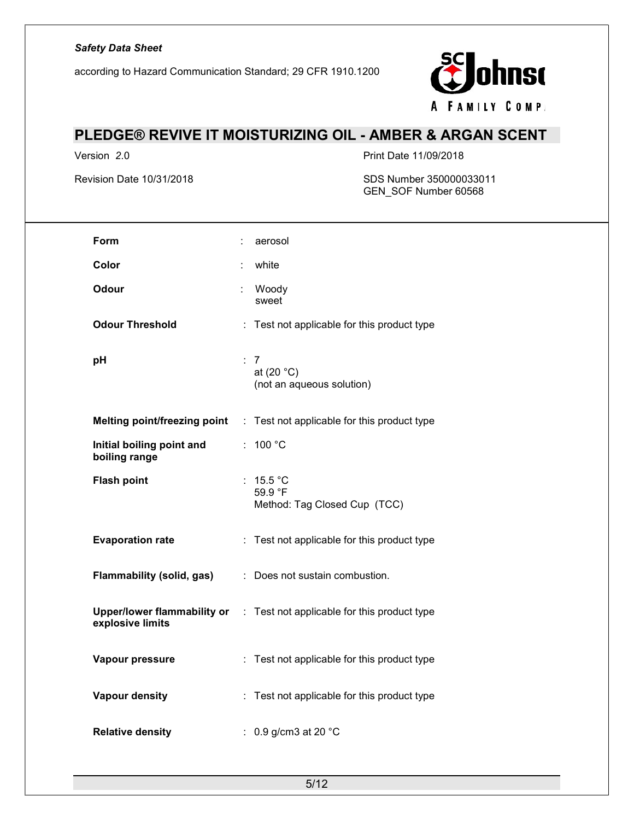according to Hazard Communication Standard; 29 CFR 1910.1200



# PLEDGE® REVIVE IT MOISTURIZING OIL - AMBER & ARGAN SCENT

Version 2.0 Print Date 11/09/2018

#### Revision Date 10/31/2018 SDS Number 350000033011 GEN\_SOF Number 60568

| Form                                       |    | aerosol                                                                        |
|--------------------------------------------|----|--------------------------------------------------------------------------------|
| Color                                      | ÷  | white                                                                          |
| <b>Odour</b>                               | ÷. | Woody<br>sweet                                                                 |
| <b>Odour Threshold</b>                     |    | : Test not applicable for this product type                                    |
| pH                                         |    | $\therefore$ 7<br>at $(20 °C)$<br>(not an aqueous solution)                    |
| Melting point/freezing point               |    | : Test not applicable for this product type                                    |
| Initial boiling point and<br>boiling range |    | : 100 °C                                                                       |
| <b>Flash point</b>                         |    | : 15.5 °C<br>59.9 °F<br>Method: Tag Closed Cup (TCC)                           |
| <b>Evaporation rate</b>                    |    | : Test not applicable for this product type                                    |
| Flammability (solid, gas)                  |    | : Does not sustain combustion.                                                 |
| explosive limits                           |    | <b>Upper/lower flammability or</b> : Test not applicable for this product type |
| Vapour pressure                            |    | : Test not applicable for this product type                                    |
| Vapour density                             |    | : Test not applicable for this product type                                    |
| <b>Relative density</b>                    |    | : $0.9$ g/cm3 at 20 $^{\circ}$ C                                               |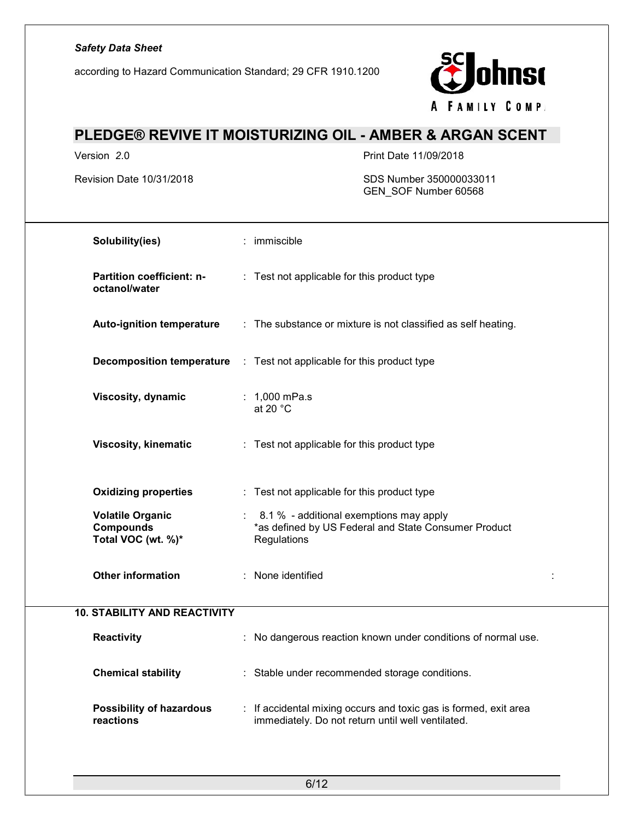according to Hazard Communication Standard; 29 CFR 1910.1200



# PLEDGE® REVIVE IT MOISTURIZING OIL - AMBER & ARGAN SCENT

Version 2.0 Print Date 11/09/2018

#### Revision Date 10/31/2018 SDS Number 350000033011 GEN\_SOF Number 60568

| Solubility(ies)                                                   | : immiscible                                                                                                          |
|-------------------------------------------------------------------|-----------------------------------------------------------------------------------------------------------------------|
| Partition coefficient: n-<br>octanol/water                        | : Test not applicable for this product type                                                                           |
| <b>Auto-ignition temperature</b>                                  | : The substance or mixture is not classified as self heating.                                                         |
|                                                                   | <b>Decomposition temperature</b> : Test not applicable for this product type                                          |
| Viscosity, dynamic                                                | : $1,000$ mPa.s<br>at 20 $^{\circ}$ C                                                                                 |
| <b>Viscosity, kinematic</b>                                       | : Test not applicable for this product type                                                                           |
| <b>Oxidizing properties</b>                                       | : Test not applicable for this product type                                                                           |
| <b>Volatile Organic</b><br><b>Compounds</b><br>Total VOC (wt. %)* | 8.1 % - additional exemptions may apply<br>*as defined by US Federal and State Consumer Product<br>Regulations        |
| <b>Other information</b>                                          | : None identified                                                                                                     |
| <b>10. STABILITY AND REACTIVITY</b>                               |                                                                                                                       |
| <b>Reactivity</b>                                                 | : No dangerous reaction known under conditions of normal use.                                                         |
| <b>Chemical stability</b>                                         | : Stable under recommended storage conditions.                                                                        |
| <b>Possibility of hazardous</b><br>reactions                      | : If accidental mixing occurs and toxic gas is formed, exit area<br>immediately. Do not return until well ventilated. |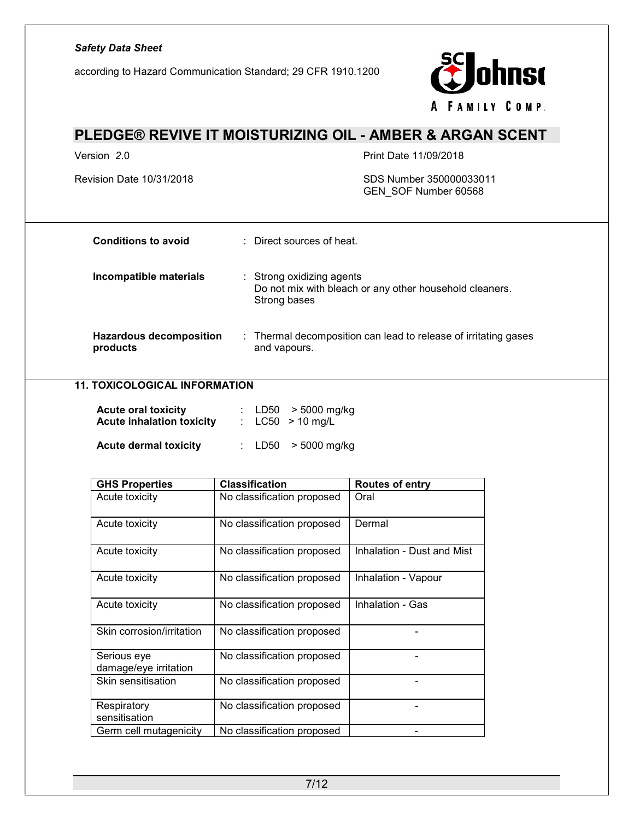# Safety Data Sheet ohnsc according to Hazard Communication Standard; 29 CFR 1910.1200 A FAMILY COMP. PLEDGE® REVIVE IT MOISTURIZING OIL - AMBER & ARGAN SCENT Version 2.0 Print Date 11/09/2018 Revision Date 10/31/2018 SDS Number 350000033011 GEN\_SOF Number 60568 **Conditions to avoid** : Direct sources of heat. **Incompatible materials** : Strong oxidizing agents Do not mix with bleach or any other household cleaners. Strong bases Hazardous decomposition : Thermal decomposition can lead to release of irritating gases products and vapours. 11. TOXICOLOGICAL INFORMATION Acute oral toxicity : LD50 > 5000 mg/kg Acute inhalation toxicity : LC50 > 10 mg/L Acute dermal toxicity : LD50 > 5000 mg/kg

| <b>GHS Properties</b>                | <b>Classification</b>      | <b>Routes of entry</b>     |
|--------------------------------------|----------------------------|----------------------------|
| Acute toxicity                       | No classification proposed | Oral                       |
| Acute toxicity                       | No classification proposed | Dermal                     |
| Acute toxicity                       | No classification proposed | Inhalation - Dust and Mist |
| Acute toxicity                       | No classification proposed | Inhalation - Vapour        |
| Acute toxicity                       | No classification proposed | Inhalation - Gas           |
| Skin corrosion/irritation            | No classification proposed |                            |
| Serious eye<br>damage/eye irritation | No classification proposed |                            |
| Skin sensitisation                   | No classification proposed |                            |
| Respiratory<br>sensitisation         | No classification proposed |                            |
| Germ cell mutagenicity               | No classification proposed |                            |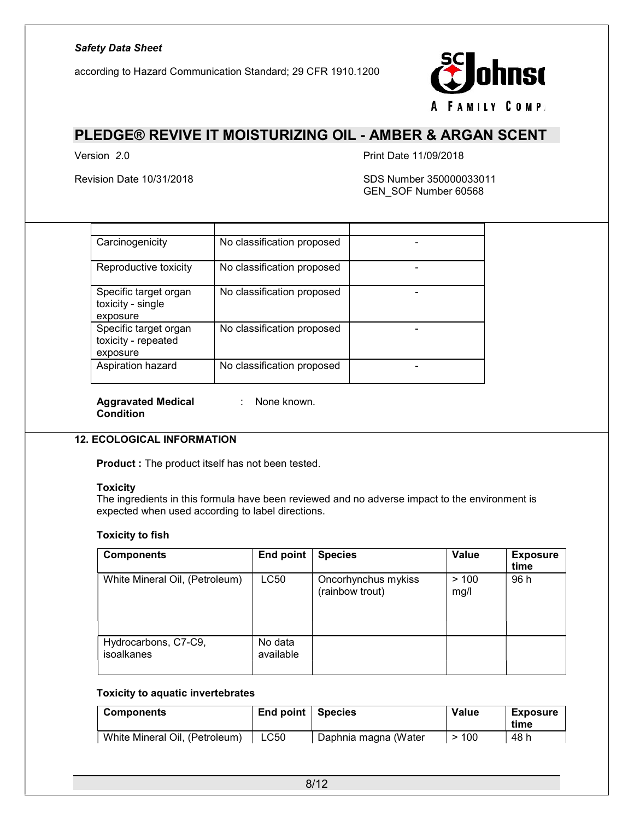according to Hazard Communication Standard; 29 CFR 1910.1200



# PLEDGE® REVIVE IT MOISTURIZING OIL - AMBER & ARGAN SCENT

Version 2.0 Print Date 11/09/2018

Revision Date 10/31/2018 SDS Number 350000033011 GEN\_SOF Number 60568

| Carcinogenicity                                          | No classification proposed |  |
|----------------------------------------------------------|----------------------------|--|
| Reproductive toxicity                                    | No classification proposed |  |
| Specific target organ<br>toxicity - single<br>exposure   | No classification proposed |  |
| Specific target organ<br>toxicity - repeated<br>exposure | No classification proposed |  |
| Aspiration hazard                                        | No classification proposed |  |

Aggravated Medical **Condition** 

: None known.

### 12. ECOLOGICAL INFORMATION

Product : The product itself has not been tested.

#### **Toxicity**

The ingredients in this formula have been reviewed and no adverse impact to the environment is expected when used according to label directions.

#### Toxicity to fish

| <b>Components</b>                  | <b>End point</b>     | <b>Species</b>                         | Value        | <b>Exposure</b><br>time |
|------------------------------------|----------------------|----------------------------------------|--------------|-------------------------|
| White Mineral Oil, (Petroleum)     | LC50                 | Oncorhynchus mykiss<br>(rainbow trout) | >100<br>mg/l | 96 h                    |
| Hydrocarbons, C7-C9,<br>isoalkanes | No data<br>available |                                        |              |                         |

#### Toxicity to aquatic invertebrates

| <b>Components</b>              | End point Species |                      | Value | <b>Exposure</b><br>time |
|--------------------------------|-------------------|----------------------|-------|-------------------------|
| White Mineral Oil, (Petroleum) | LC50              | Daphnia magna (Water | >100  | 48 h                    |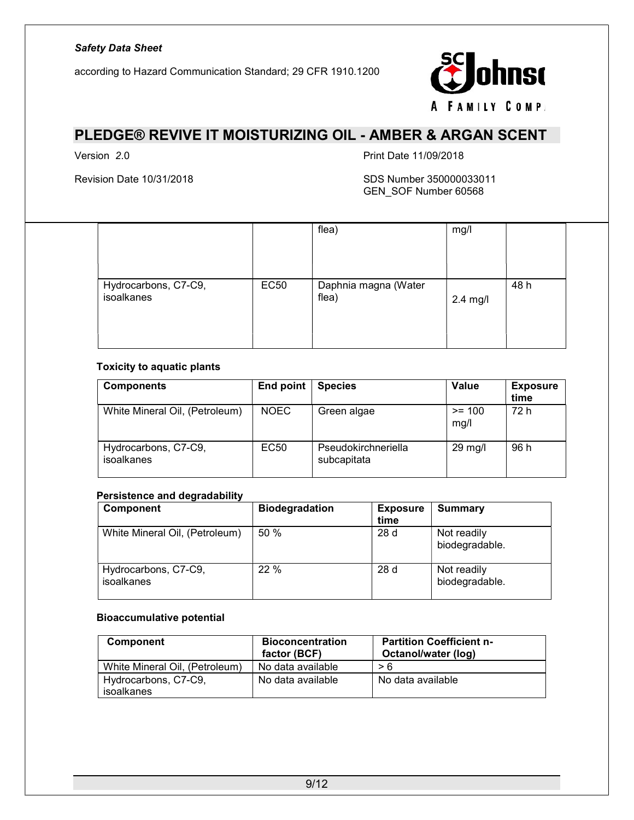according to Hazard Communication Standard; 29 CFR 1910.1200



# PLEDGE® REVIVE IT MOISTURIZING OIL - AMBER & ARGAN SCENT

Version 2.0 Print Date 11/09/2018

#### Revision Date 10/31/2018 SDS Number 350000033011 GEN\_SOF Number 60568

|                                    |             | flea)                         | mg/l     |      |  |
|------------------------------------|-------------|-------------------------------|----------|------|--|
|                                    |             |                               |          |      |  |
|                                    |             |                               |          |      |  |
| Hydrocarbons, C7-C9,<br>isoalkanes | <b>EC50</b> | Daphnia magna (Water<br>flea) | 2.4 mg/l | 48 h |  |
|                                    |             |                               |          |      |  |
|                                    |             |                               |          |      |  |

### Toxicity to aquatic plants

| <b>Components</b>                  | End point        | <b>Species</b>                     | Value            | <b>Exposure</b><br>time |
|------------------------------------|------------------|------------------------------------|------------------|-------------------------|
| White Mineral Oil, (Petroleum)     | <b>NOEC</b>      | Green algae                        | $>= 100$<br>mg/l | 72 h                    |
| Hydrocarbons, C7-C9,<br>isoalkanes | EC <sub>50</sub> | Pseudokirchneriella<br>subcapitata | $29$ mg/l        | 96 h                    |

#### Persistence and degradability

| Component                          | <b>Biodegradation</b> | <b>Exposure</b><br>time | Summary                       |
|------------------------------------|-----------------------|-------------------------|-------------------------------|
| White Mineral Oil, (Petroleum)     | 50%                   | 28d                     | Not readily<br>biodegradable. |
| Hydrocarbons, C7-C9,<br>isoalkanes | 22%                   | 28d                     | Not readily<br>biodegradable. |

#### Bioaccumulative potential

| Component                          | <b>Bioconcentration</b><br>factor (BCF) | <b>Partition Coefficient n-</b><br>Octanol/water (log) |
|------------------------------------|-----------------------------------------|--------------------------------------------------------|
| White Mineral Oil, (Petroleum)     | No data available                       | > ჩ                                                    |
| Hydrocarbons, C7-C9,<br>isoalkanes | No data available                       | No data available                                      |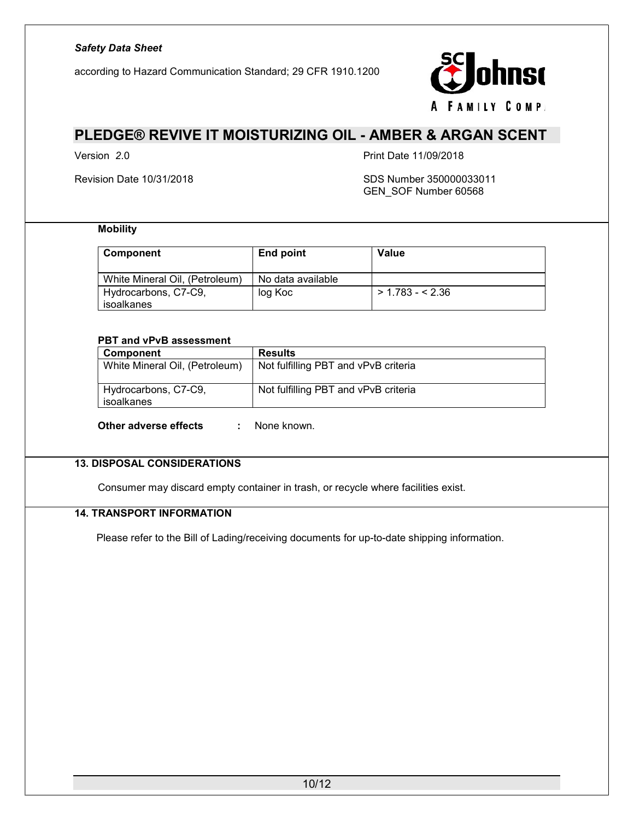according to Hazard Communication Standard; 29 CFR 1910.1200



# PLEDGE® REVIVE IT MOISTURIZING OIL - AMBER & ARGAN SCENT

Version 2.0 Print Date 11/09/2018

#### Revision Date 10/31/2018 SDS Number 350000033011 GEN\_SOF Number 60568

#### **Mobility**

| Component                          | End point         | Value            |
|------------------------------------|-------------------|------------------|
| White Mineral Oil, (Petroleum)     | No data available |                  |
| Hydrocarbons, C7-C9,<br>isoalkanes | log Koc           | $> 1.783 - 2.36$ |

#### PBT and vPvB assessment

| Component                          | <b>Results</b>                       |
|------------------------------------|--------------------------------------|
| White Mineral Oil, (Petroleum)     | Not fulfilling PBT and vPvB criteria |
| Hydrocarbons, C7-C9,<br>isoalkanes | Not fulfilling PBT and vPvB criteria |
| Other adverse effects              | None known.                          |

# 13. DISPOSAL CONSIDERATIONS

Consumer may discard empty container in trash, or recycle where facilities exist.

# 14. TRANSPORT INFORMATION

Please refer to the Bill of Lading/receiving documents for up-to-date shipping information.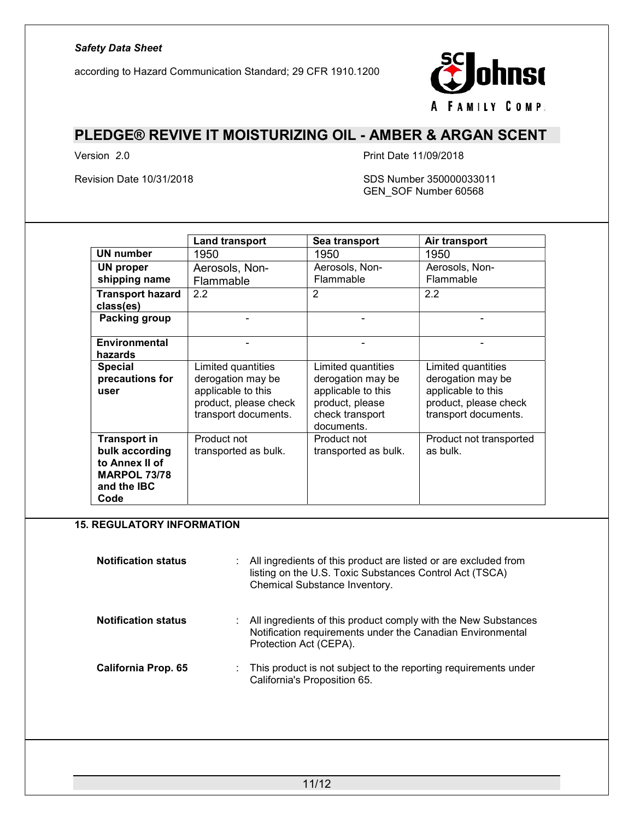according to Hazard Communication Standard; 29 CFR 1910.1200



# PLEDGE® REVIVE IT MOISTURIZING OIL - AMBER & ARGAN SCENT

Version 2.0 Print Date 11/09/2018

Revision Date 10/31/2018 SDS Number 350000033011 GEN\_SOF Number 60568

|                                                                                                       | <b>Land transport</b>                                                                                          | Sea transport                                                                                                     | Air transport                                                                                                  |
|-------------------------------------------------------------------------------------------------------|----------------------------------------------------------------------------------------------------------------|-------------------------------------------------------------------------------------------------------------------|----------------------------------------------------------------------------------------------------------------|
| <b>UN number</b>                                                                                      | 1950                                                                                                           | 1950                                                                                                              | 1950                                                                                                           |
| UN proper<br>shipping name                                                                            | Aerosols, Non-<br>Flammable                                                                                    | Aerosols, Non-<br>Flammable                                                                                       | Aerosols, Non-<br>Flammable                                                                                    |
| <b>Transport hazard</b><br>class(es)                                                                  | 2.2                                                                                                            | 2                                                                                                                 | 2.2                                                                                                            |
| Packing group                                                                                         |                                                                                                                |                                                                                                                   |                                                                                                                |
| Environmental<br>hazards                                                                              |                                                                                                                |                                                                                                                   |                                                                                                                |
| <b>Special</b><br>precautions for<br>user                                                             | Limited quantities<br>derogation may be<br>applicable to this<br>product, please check<br>transport documents. | Limited quantities<br>derogation may be<br>applicable to this<br>product, please<br>check transport<br>documents. | Limited quantities<br>derogation may be<br>applicable to this<br>product, please check<br>transport documents. |
| <b>Transport in</b><br>bulk according<br>to Annex II of<br><b>MARPOL 73/78</b><br>and the IBC<br>Code | Product not<br>transported as bulk.                                                                            | Product not<br>transported as bulk.                                                                               | Product not transported<br>as bulk.                                                                            |

# 15. REGULATORY INFORMATION

| <b>Notification status</b> | All ingredients of this product are listed or are excluded from<br>listing on the U.S. Toxic Substances Control Act (TSCA)<br>Chemical Substance Inventory. |
|----------------------------|-------------------------------------------------------------------------------------------------------------------------------------------------------------|
| <b>Notification status</b> | All ingredients of this product comply with the New Substances<br>Notification requirements under the Canadian Environmental<br>Protection Act (CEPA).      |
| California Prop. 65        | : This product is not subject to the reporting requirements under<br>California's Proposition 65.                                                           |